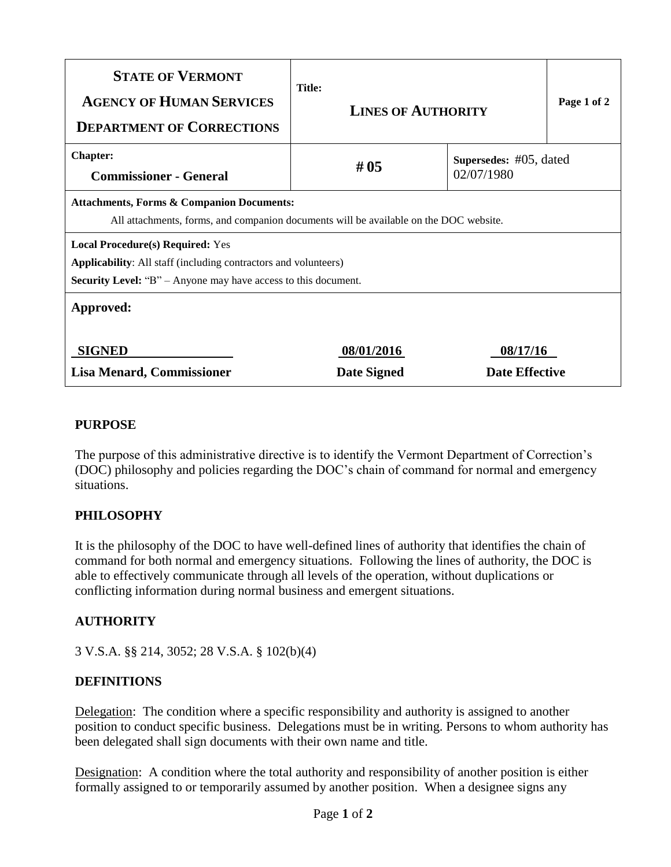| <b>STATE OF VERMONT</b><br><b>AGENCY OF HUMAN SERVICES</b><br><b>DEPARTMENT OF CORRECTIONS</b>                                                                                             | <b>Title:</b><br><b>LINES OF AUTHORITY</b> |                                         | Page 1 of 2 |
|--------------------------------------------------------------------------------------------------------------------------------------------------------------------------------------------|--------------------------------------------|-----------------------------------------|-------------|
| <b>Chapter:</b><br><b>Commissioner - General</b>                                                                                                                                           | #05                                        | Supersedes: $#05$ , dated<br>02/07/1980 |             |
| <b>Attachments, Forms &amp; Companion Documents:</b><br>All attachments, forms, and companion documents will be available on the DOC website.                                              |                                            |                                         |             |
| <b>Local Procedure(s) Required:</b> Yes<br><b>Applicability:</b> All staff (including contractors and volunteers)<br><b>Security Level:</b> "B" – Anyone may have access to this document. |                                            |                                         |             |
| Approved:                                                                                                                                                                                  |                                            |                                         |             |
| <b>SIGNED</b><br>08/01/2016<br><b>Lisa Menard, Commissioner</b><br>Date Signed                                                                                                             |                                            | 08/17/16<br><b>Date Effective</b>       |             |

### **PURPOSE**

The purpose of this administrative directive is to identify the Vermont Department of Correction's (DOC) philosophy and policies regarding the DOC's chain of command for normal and emergency situations.

### **PHILOSOPHY**

It is the philosophy of the DOC to have well-defined lines of authority that identifies the chain of command for both normal and emergency situations. Following the lines of authority, the DOC is able to effectively communicate through all levels of the operation, without duplications or conflicting information during normal business and emergent situations.

## **AUTHORITY**

3 V.S.A. §§ 214, 3052; 28 V.S.A. § 102(b)(4)

### **DEFINITIONS**

Delegation: The condition where a specific responsibility and authority is assigned to another position to conduct specific business. Delegations must be in writing. Persons to whom authority has been delegated shall sign documents with their own name and title.

Designation: A condition where the total authority and responsibility of another position is either formally assigned to or temporarily assumed by another position. When a designee signs any